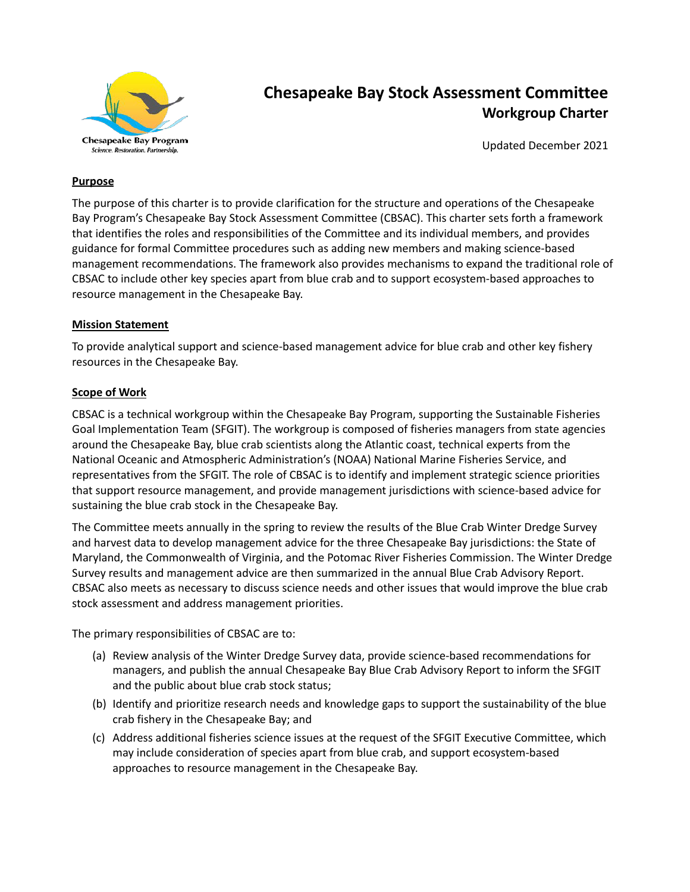

# **Chesapeake Bay Stock Assessment Committee Workgroup Charter**

Updated December 2021

#### **Purpose**

The purpose of this charter is to provide clarification for the structure and operations of the Chesapeake Bay Program's Chesapeake Bay Stock Assessment Committee (CBSAC). This charter sets forth a framework that identifies the roles and responsibilities of the Committee and its individual members, and provides guidance for formal Committee procedures such as adding new members and making science-based management recommendations. The framework also provides mechanisms to expand the traditional role of CBSAC to include other key species apart from blue crab and to support ecosystem-based approaches to resource management in the Chesapeake Bay.

#### **Mission Statement**

To provide analytical support and science-based management advice for blue crab and other key fishery resources in the Chesapeake Bay.

#### **Scope of Work**

CBSAC is a technical workgroup within the Chesapeake Bay Program, supporting the Sustainable Fisheries Goal Implementation Team (SFGIT). The workgroup is composed of fisheries managers from state agencies around the Chesapeake Bay, blue crab scientists along the Atlantic coast, technical experts from the National Oceanic and Atmospheric Administration's (NOAA) National Marine Fisheries Service, and representatives from the SFGIT. The role of CBSAC is to identify and implement strategic science priorities that support resource management, and provide management jurisdictions with science-based advice for sustaining the blue crab stock in the Chesapeake Bay.

The Committee meets annually in the spring to review the results of the Blue Crab Winter Dredge Survey and harvest data to develop management advice for the three Chesapeake Bay jurisdictions: the State of Maryland, the Commonwealth of Virginia, and the Potomac River Fisheries Commission. The Winter Dredge Survey results and management advice are then summarized in the annual Blue Crab Advisory Report. CBSAC also meets as necessary to discuss science needs and other issues that would improve the blue crab stock assessment and address management priorities.

The primary responsibilities of CBSAC are to:

- (a) Review analysis of the Winter Dredge Survey data, provide science-based recommendations for managers, and publish the annual Chesapeake Bay Blue Crab Advisory Report to inform the SFGIT and the public about blue crab stock status;
- (b) Identify and prioritize research needs and knowledge gaps to support the sustainability of the blue crab fishery in the Chesapeake Bay; and
- (c) Address additional fisheries science issues at the request of the SFGIT Executive Committee, which may include consideration of species apart from blue crab, and support ecosystem-based approaches to resource management in the Chesapeake Bay.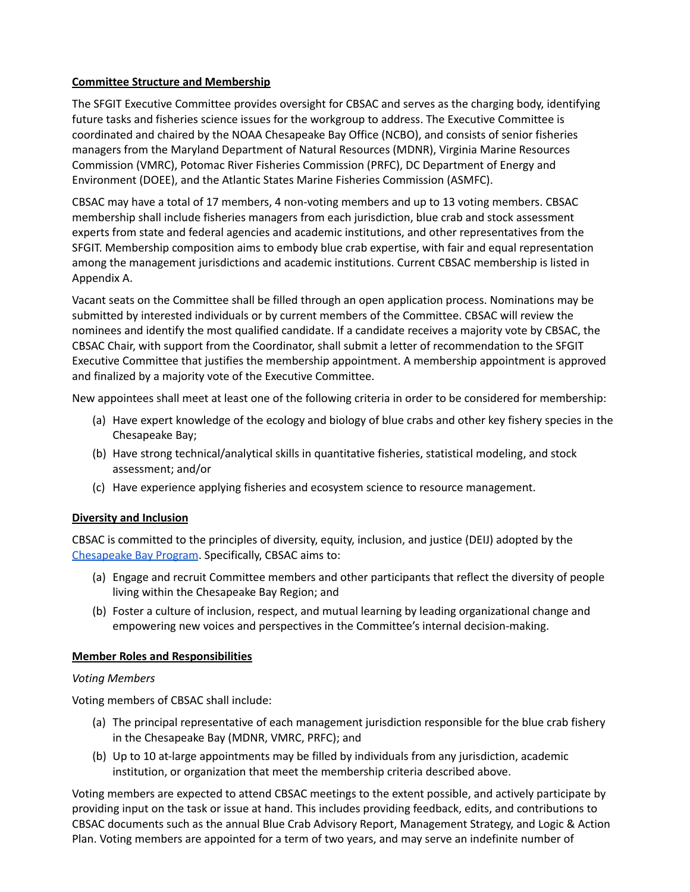#### **Committee Structure and Membership**

The SFGIT Executive Committee provides oversight for CBSAC and serves as the charging body, identifying future tasks and fisheries science issues for the workgroup to address. The Executive Committee is coordinated and chaired by the NOAA Chesapeake Bay Office (NCBO), and consists of senior fisheries managers from the Maryland Department of Natural Resources (MDNR), Virginia Marine Resources Commission (VMRC), Potomac River Fisheries Commission (PRFC), DC Department of Energy and Environment (DOEE), and the Atlantic States Marine Fisheries Commission (ASMFC).

CBSAC may have a total of 17 members, 4 non-voting members and up to 13 voting members. CBSAC membership shall include fisheries managers from each jurisdiction, blue crab and stock assessment experts from state and federal agencies and academic institutions, and other representatives from the SFGIT. Membership composition aims to embody blue crab expertise, with fair and equal representation among the management jurisdictions and academic institutions. Current CBSAC membership is listed in Appendix A.

Vacant seats on the Committee shall be filled through an open application process. Nominations may be submitted by interested individuals or by current members of the Committee. CBSAC will review the nominees and identify the most qualified candidate. If a candidate receives a majority vote by CBSAC, the CBSAC Chair, with support from the Coordinator, shall submit a letter of recommendation to the SFGIT Executive Committee that justifies the membership appointment. A membership appointment is approved and finalized by a majority vote of the Executive Committee.

New appointees shall meet at least one of the following criteria in order to be considered for membership:

- (a) Have expert knowledge of the ecology and biology of blue crabs and other key fishery species in the Chesapeake Bay;
- (b) Have strong technical/analytical skills in quantitative fisheries, statistical modeling, and stock assessment; and/or
- (c) Have experience applying fisheries and ecosystem science to resource management.

# **Diversity and Inclusion**

CBSAC is committed to the principles of diversity, equity, inclusion, and justice (DEIJ) adopted by the [Chesapeake](https://www.chesapeakebay.net/channel_files/40993/iii.e._cbp_deij_statement_final_draft_5.15.2020_clean.pdf) Bay Program. Specifically, CBSAC aims to:

- (a) Engage and recruit Committee members and other participants that reflect the diversity of people living within the Chesapeake Bay Region; and
- (b) Foster a culture of inclusion, respect, and mutual learning by leading organizational change and empowering new voices and perspectives in the Committee's internal decision-making.

# **Member Roles and Responsibilities**

# *Voting Members*

Voting members of CBSAC shall include:

- (a) The principal representative of each management jurisdiction responsible for the blue crab fishery in the Chesapeake Bay (MDNR, VMRC, PRFC); and
- (b) Up to 10 at-large appointments may be filled by individuals from any jurisdiction, academic institution, or organization that meet the membership criteria described above.

Voting members are expected to attend CBSAC meetings to the extent possible, and actively participate by providing input on the task or issue at hand. This includes providing feedback, edits, and contributions to CBSAC documents such as the annual Blue Crab Advisory Report, Management Strategy, and Logic & Action Plan. Voting members are appointed for a term of two years, and may serve an indefinite number of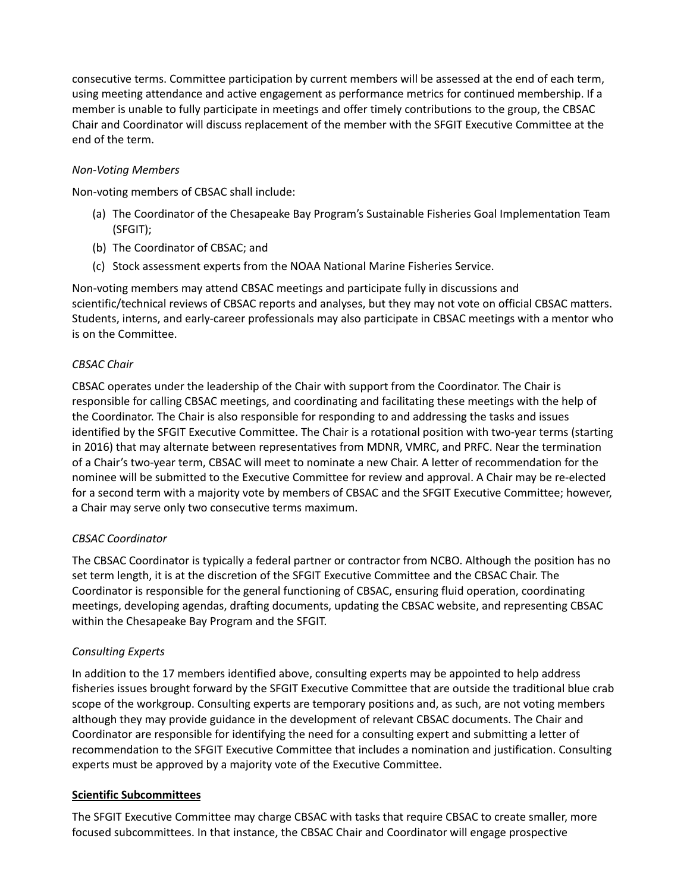consecutive terms. Committee participation by current members will be assessed at the end of each term, using meeting attendance and active engagement as performance metrics for continued membership. If a member is unable to fully participate in meetings and offer timely contributions to the group, the CBSAC Chair and Coordinator will discuss replacement of the member with the SFGIT Executive Committee at the end of the term.

#### *Non-Voting Members*

Non-voting members of CBSAC shall include:

- (a) The Coordinator of the Chesapeake Bay Program's Sustainable Fisheries Goal Implementation Team (SFGIT);
- (b) The Coordinator of CBSAC; and
- (c) Stock assessment experts from the NOAA National Marine Fisheries Service.

Non-voting members may attend CBSAC meetings and participate fully in discussions and scientific/technical reviews of CBSAC reports and analyses, but they may not vote on official CBSAC matters. Students, interns, and early-career professionals may also participate in CBSAC meetings with a mentor who is on the Committee.

#### *CBSAC Chair*

CBSAC operates under the leadership of the Chair with support from the Coordinator. The Chair is responsible for calling CBSAC meetings, and coordinating and facilitating these meetings with the help of the Coordinator. The Chair is also responsible for responding to and addressing the tasks and issues identified by the SFGIT Executive Committee. The Chair is a rotational position with two-year terms (starting in 2016) that may alternate between representatives from MDNR, VMRC, and PRFC. Near the termination of a Chair's two-year term, CBSAC will meet to nominate a new Chair. A letter of recommendation for the nominee will be submitted to the Executive Committee for review and approval. A Chair may be re-elected for a second term with a majority vote by members of CBSAC and the SFGIT Executive Committee; however, a Chair may serve only two consecutive terms maximum.

#### *CBSAC Coordinator*

The CBSAC Coordinator is typically a federal partner or contractor from NCBO. Although the position has no set term length, it is at the discretion of the SFGIT Executive Committee and the CBSAC Chair. The Coordinator is responsible for the general functioning of CBSAC, ensuring fluid operation, coordinating meetings, developing agendas, drafting documents, updating the CBSAC website, and representing CBSAC within the Chesapeake Bay Program and the SFGIT.

#### *Consulting Experts*

In addition to the 17 members identified above, consulting experts may be appointed to help address fisheries issues brought forward by the SFGIT Executive Committee that are outside the traditional blue crab scope of the workgroup. Consulting experts are temporary positions and, as such, are not voting members although they may provide guidance in the development of relevant CBSAC documents. The Chair and Coordinator are responsible for identifying the need for a consulting expert and submitting a letter of recommendation to the SFGIT Executive Committee that includes a nomination and justification. Consulting experts must be approved by a majority vote of the Executive Committee.

#### **Scientific Subcommittees**

The SFGIT Executive Committee may charge CBSAC with tasks that require CBSAC to create smaller, more focused subcommittees. In that instance, the CBSAC Chair and Coordinator will engage prospective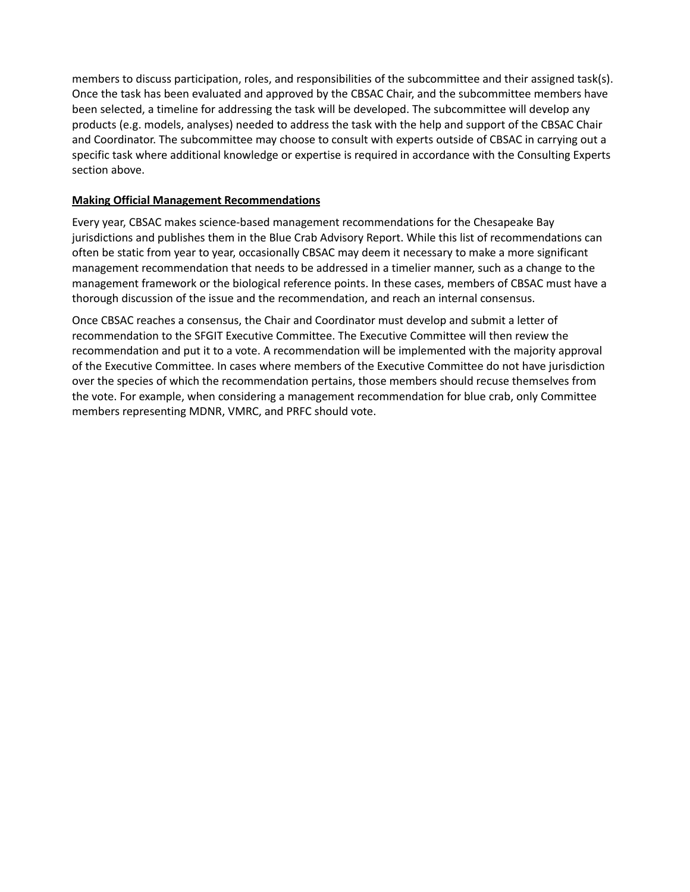members to discuss participation, roles, and responsibilities of the subcommittee and their assigned task(s). Once the task has been evaluated and approved by the CBSAC Chair, and the subcommittee members have been selected, a timeline for addressing the task will be developed. The subcommittee will develop any products (e.g. models, analyses) needed to address the task with the help and support of the CBSAC Chair and Coordinator. The subcommittee may choose to consult with experts outside of CBSAC in carrying out a specific task where additional knowledge or expertise is required in accordance with the Consulting Experts section above.

#### **Making Official Management Recommendations**

Every year, CBSAC makes science-based management recommendations for the Chesapeake Bay jurisdictions and publishes them in the Blue Crab Advisory Report. While this list of recommendations can often be static from year to year, occasionally CBSAC may deem it necessary to make a more significant management recommendation that needs to be addressed in a timelier manner, such as a change to the management framework or the biological reference points. In these cases, members of CBSAC must have a thorough discussion of the issue and the recommendation, and reach an internal consensus.

Once CBSAC reaches a consensus, the Chair and Coordinator must develop and submit a letter of recommendation to the SFGIT Executive Committee. The Executive Committee will then review the recommendation and put it to a vote. A recommendation will be implemented with the majority approval of the Executive Committee. In cases where members of the Executive Committee do not have jurisdiction over the species of which the recommendation pertains, those members should recuse themselves from the vote. For example, when considering a management recommendation for blue crab, only Committee members representing MDNR, VMRC, and PRFC should vote.